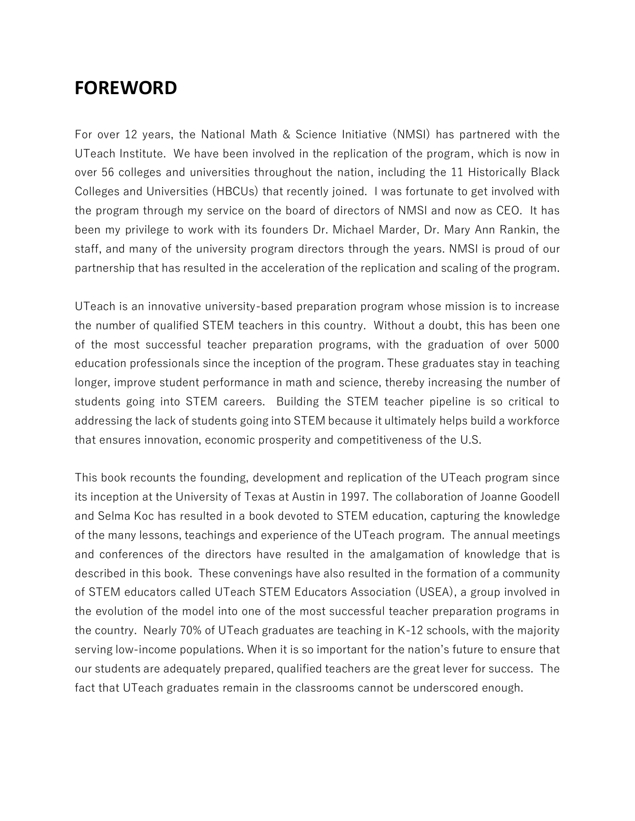## **FOREWORD**

For over 12 years, the National Math & Science Initiative (NMSI) has partnered with the UTeach Institute. We have been involved in the replication of the program, which is now in over 56 colleges and universities throughout the nation, including the 11 Historically Black Colleges and Universities (HBCUs) that recently joined. I was fortunate to get involved with the program through my service on the board of directors of NMSI and now as CEO. It has been my privilege to work with its founders Dr. Michael Marder, Dr. Mary Ann Rankin, the staff, and many of the university program directors through the years. NMSI is proud of our partnership that has resulted in the acceleration of the replication and scaling of the program.

UTeach is an innovative university-based preparation program whose mission is to increase the number of qualified STEM teachers in this country. Without a doubt, this has been one of the most successful teacher preparation programs, with the graduation of over 5000 education professionals since the inception of the program. These graduates stay in teaching longer, improve student performance in math and science, thereby increasing the number of students going into STEM careers. Building the STEM teacher pipeline is so critical to addressing the lack of students going into STEM because it ultimately helps build a workforce that ensures innovation, economic prosperity and competitiveness of the U.S.

This book recounts the founding, development and replication of the UTeach program since its inception at the University of Texas at Austin in 1997. The collaboration of Joanne Goodell and Selma Koc has resulted in a book devoted to STEM education, capturing the knowledge of the many lessons, teachings and experience of the UTeach program. The annual meetings and conferences of the directors have resulted in the amalgamation of knowledge that is described in this book. These convenings have also resulted in the formation of a community of STEM educators called UTeach STEM Educators Association (USEA), a group involved in the evolution of the model into one of the most successful teacher preparation programs in the country. Nearly 70% of UTeach graduates are teaching in K-12 schools, with the majority serving low-income populations. When it is so important for the nation's future to ensure that our students are adequately prepared, qualified teachers are the great lever for success. The fact that UTeach graduates remain in the classrooms cannot be underscored enough.